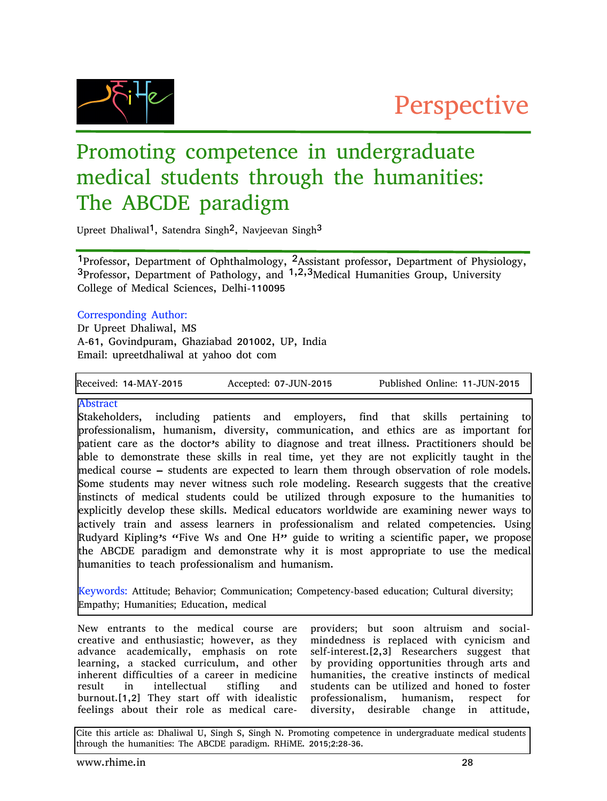

# Promoting competence in undergraduate medical students through the humanities: The ABCDE paradigm

Upreet Dhaliwal<sup>1</sup>, Satendra Singh<sup>2</sup>, Navjeevan Singh<sup>3</sup>

1Professor, Department of Ophthalmology, 2Assistant professor, Department of Physiology, 3Professor, Department of Pathology, and 1,2,3Medical Humanities Group, University College of Medical Sciences, Delhi-110095

### Corresponding Author:

Dr Upreet Dhaliwal, MS A-61, Govindpuram, Ghaziabad 201002, UP, India Email: upreetdhaliwal at yahoo dot com

Received: 14-MAY-2015 Accepted: 07-JUN-2015 Published Online: 11-JUN-2015

Abstract

Stakeholders, including patients and employers, find that skills pertaining to professionalism, humanism, diversity, communication, and ethics are as important for patient care as the doctor's ability to diagnose and treat illness. Practitioners should be able to demonstrate these skills in real time, yet they are not explicitly taught in the medical course – students are expected to learn them through observation of role models. Some students may never witness such role modeling. Research suggests that the creative instincts of medical students could be utilized through exposure to the humanities to explicitly develop these skills. Medical educators worldwide are examining newer ways to actively train and assess learners in professionalism and related competencies. Using Rudyard Kipling's "Five Ws and One H" guide to writing a scientific paper, we propose the ABCDE paradigm and demonstrate why it is most appropriate to use the medical humanities to teach professionalism and humanism.

Keywords: Attitude; Behavior; Communication; Competency-based education; Cultural diversity; Empathy; Humanities; Education, medical

New entrants to the medical course are creative and enthusiastic; however, as they advance academically, emphasis on rote learning, a stacked curriculum, and other inherent difficulties of a career in medicine result in intellectual stifling and burnout.[1,2] They start off with idealistic feelings about their role as medical care-

providers; but soon altruism and socialmindedness is replaced with cynicism and self-interest.[2,3] Researchers suggest that by providing opportunities through arts and humanities, the creative instincts of medical students can be utilized and honed to foster professionalism, humanism, respect for diversity, desirable change in attitude,

Cite this article as: Dhaliwal U, Singh S, Singh N. Promoting competence in undergraduate medical students through the humanities: The ABCDE paradigm. RHiME. 2015;2:28-36.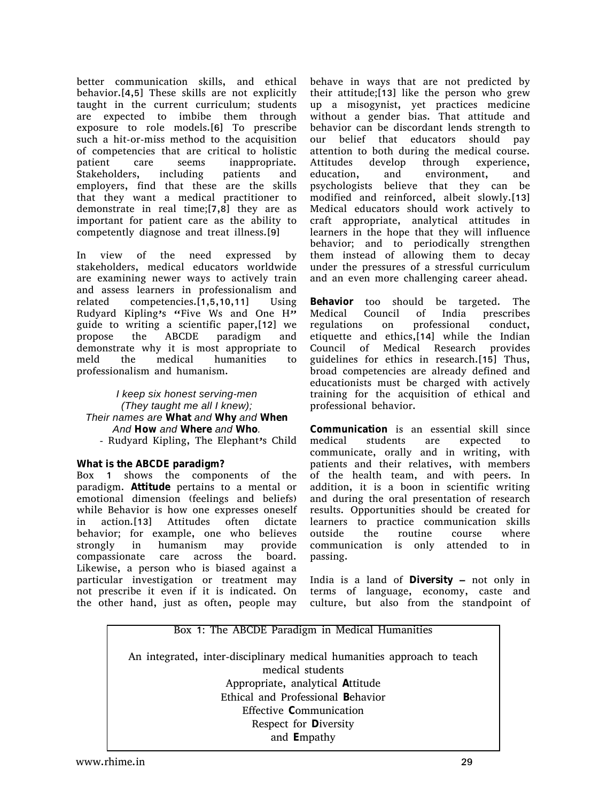better communication skills, and ethical behavior.[4,5] These skills are not explicitly taught in the current curriculum; students are expected to imbibe them through exposure to role models.[6] To prescribe such a hit-or-miss method to the acquisition of competencies that are critical to holistic patient care seems inappropriate. Stakeholders, including patients and employers, find that these are the skills that they want a medical practitioner to demonstrate in real time;[7,8] they are as important for patient care as the ability to competently diagnose and treat illness.[9]

In view of the need expressed by stakeholders, medical educators worldwide are examining newer ways to actively train and assess learners in professionalism and related competencies.[1,5,10,11] Using Rudyard Kipling's "Five Ws and One H" guide to writing a scientific paper,[12] we propose the ABCDE paradigm and demonstrate why it is most appropriate to meld the medical humanities to professionalism and humanism.

*I* keep six honest serving-men *(They taught me all I knew) Their names are* **What** *and* **Why** *and* **When** *And* **How** *and* **Where** *and* **Who***.* - Rudyard Kipling, The Elephant's Child

#### **What is the ABCDE paradigm?**

Box 1 shows the components of the paradigm. **Attitude** pertains to a mental or emotional dimension (feelings and beliefs) while Behavior is how one expresses oneself in action.[13] Attitudes often dictate behavior; for example, one who believes strongly in humanism may provide compassionate care across the board. Likewise, a person who is biased against a particular investigation or treatment may not prescribe it even if it is indicated. On the other hand, just as often, people may

behave in ways that are not predicted by their attitude;[13] like the person who grew up a misogynist, yet practices medicine without a gender bias. That attitude and behavior can be discordant lends strength to our belief that educators should pay attention to both during the medical course. Attitudes develop through experience, education, and environment, and psychologists believe that they can be modified and reinforced, albeit slowly.[13] Medical educators should work actively to craft appropriate, analytical attitudes in learners in the hope that they will influence behavior; and to periodically strengthen them instead of allowing them to decay under the pressures of a stressful curriculum and an even more challenging career ahead.

**Behavior** too should be targeted. The Medical Council of India prescribes regulations on professional conduct, etiquette and ethics,[14] while the Indian Council of Medical Research provides guidelines for ethics in research.[15] Thus, broad competencies are already defined and educationists must be charged with actively training for the acquisition of ethical and professional behavior.

**Communication** is an essential skill since medical students are expected to communicate, orally and in writing, with patients and their relatives, with members of the health team, and with peers. In addition, it is a boon in scientific writing and during the oral presentation of research results. Opportunities should be created for learners to practice communication skills outside the routine course where communication is only attended to in passing.

India is a land of **Diversity** – not only in terms of language, economy, caste and culture, but also from the standpoint of

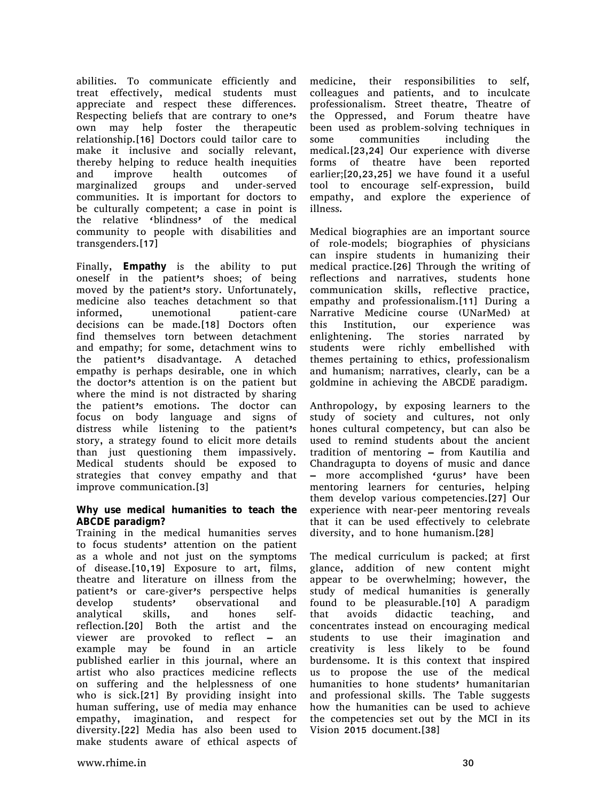abilities. To communicate efficiently and treat effectively, medical students must appreciate and respect these differences. Respecting beliefs that are contrary to one's own may help foster the therapeutic relationship.[16] Doctors could tailor care to make it inclusive and socially relevant, thereby helping to reduce health inequities and improve health outcomes of marginalized groups and under-served communities. It is important for doctors to be culturally competent; a case in point is the relative 'blindness' of the medical community to people with disabilities and transgenders.[17]

Finally, **Empathy** is the ability to put oneself in the patient's shoes; of being moved by the patient's story. Unfortunately, medicine also teaches detachment so that informed, unemotional patient-care decisions can be made.[18] Doctors often find themselves torn between detachment and empathy; for some, detachment wins to the patient's disadvantage. A detached empathy is perhaps desirable, one in which the doctor's attention is on the patient but where the mind is not distracted by sharing the patient's emotions. The doctor can focus on body language and signs of distress while listening to the patient's story, a strategy found to elicit more details than just questioning them impassively. Medical students should be exposed to strategies that convey empathy and that improve communication.[3]

#### **Why use medical humanities to teach the ABCDE paradigm?**

Training in the medical humanities serves to focus students' attention on the patient as a whole and not just on the symptoms of disease.[10,19] Exposure to art, films, theatre and literature on illness from the patient's or care-giver's perspective helps develop students' observational and analytical skills, and hones selfreflection.[20] Both the artist and the viewer are provoked to reflect – an example may be found in an article published earlier in this journal, where an artist who also practices medicine reflects on suffering and the helplessness of one who is sick.[21] By providing insight into human suffering, use of media may enhance empathy, imagination, and respect for diversity.[22] Media has also been used to make students aware of ethical aspects of

medicine, their responsibilities to self, colleagues and patients, and to inculcate professionalism. Street theatre, Theatre of the Oppressed, and Forum theatre have been used as problem-solving techniques in some communities including the medical.[23,24] Our experience with diverse forms of theatre have been reported earlier;[20,23,25] we have found it a useful tool to encourage self-expression, build empathy, and explore the experience of illness.

Medical biographies are an important source of role-models; biographies of physicians can inspire students in humanizing their medical practice.[26] Through the writing of reflections and narratives, students hone communication skills, reflective practice, empathy and professionalism.[11] During a Narrative Medicine course (UNarMed) at this Institution, our experience was enlightening. The stories narrated by students were richly embellished with themes pertaining to ethics, professionalism and humanism; narratives, clearly, can be a goldmine in achieving the ABCDE paradigm.

Anthropology, by exposing learners to the study of society and cultures, not only hones cultural competency, but can also be used to remind students about the ancient tradition of mentoring – from Kautilia and Chandragupta to doyens of music and dance more accomplished 'gurus' have been mentoring learners for centuries, helping them develop various competencies.[27] Our experience with near-peer mentoring reveals that it can be used effectively to celebrate diversity, and to hone humanism.[28]

The medical curriculum is packed; at first glance, addition of new content might appear to be overwhelming; however, the study of medical humanities is generally found to be pleasurable.[10] A paradigm that avoids didactic teaching, and concentrates instead on encouraging medical students to use their imagination and creativity is less likely to be found burdensome. It is this context that inspired us to propose the use of the medical humanities to hone students' humanitarian and professional skills. The Table suggests how the humanities can be used to achieve the competencies set out by the MCI in its Vision 2015 document.[38]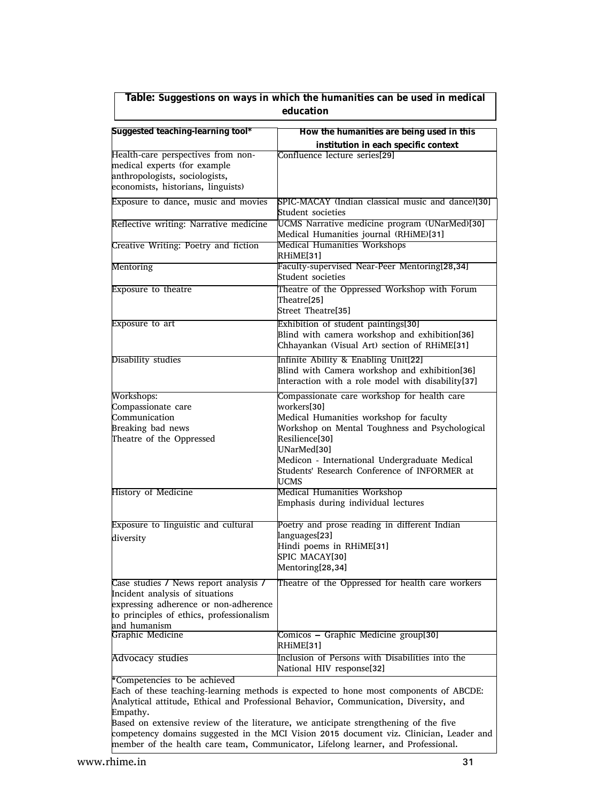| Table: Suggestions on ways in which the humanities can be used in medical<br>education                                                                                                                                                                                                                                                                                                                                                                                                             |                                                                                                                                                                                                                                                                                                          |
|----------------------------------------------------------------------------------------------------------------------------------------------------------------------------------------------------------------------------------------------------------------------------------------------------------------------------------------------------------------------------------------------------------------------------------------------------------------------------------------------------|----------------------------------------------------------------------------------------------------------------------------------------------------------------------------------------------------------------------------------------------------------------------------------------------------------|
| Suggested teaching-learning tool*                                                                                                                                                                                                                                                                                                                                                                                                                                                                  | How the humanities are being used in this                                                                                                                                                                                                                                                                |
| Health-care perspectives from non-<br>medical experts (for example<br>anthropologists, sociologists,<br>economists, historians, linguists)                                                                                                                                                                                                                                                                                                                                                         | institution in each specific context<br>Confluence lecture series[29]                                                                                                                                                                                                                                    |
| Exposure to dance, music and movies                                                                                                                                                                                                                                                                                                                                                                                                                                                                | SPIC-MACAY (Indian classical music and dance)[30]<br>Student societies                                                                                                                                                                                                                                   |
| Reflective writing: Narrative medicine                                                                                                                                                                                                                                                                                                                                                                                                                                                             | UCMS Narrative medicine program (UNarMed)[30]<br>Medical Humanities journal (RHiME)[31]                                                                                                                                                                                                                  |
| Creative Writing: Poetry and fiction                                                                                                                                                                                                                                                                                                                                                                                                                                                               | <b>Medical Humanities Workshops</b><br>RHIME[31]                                                                                                                                                                                                                                                         |
| Mentoring                                                                                                                                                                                                                                                                                                                                                                                                                                                                                          | Faculty-supervised Near-Peer Mentoring[28,34]<br>Student societies                                                                                                                                                                                                                                       |
| <b>Exposure to theatre</b>                                                                                                                                                                                                                                                                                                                                                                                                                                                                         | Theatre of the Oppressed Workshop with Forum<br>Theatre[25]<br>Street Theatre[35]                                                                                                                                                                                                                        |
| Exposure to art                                                                                                                                                                                                                                                                                                                                                                                                                                                                                    | Exhibition of student paintings[30]<br>Blind with camera workshop and exhibition[36]<br>Chhayankan (Visual Art) section of RHiME[31]                                                                                                                                                                     |
| Disability studies                                                                                                                                                                                                                                                                                                                                                                                                                                                                                 | Infinite Ability & Enabling Unit[22]<br>Blind with Camera workshop and exhibition[36]<br>Interaction with a role model with disability[37]                                                                                                                                                               |
| Workshops:<br>Compassionate care<br>Communication<br>Breaking bad news<br>Theatre of the Oppressed                                                                                                                                                                                                                                                                                                                                                                                                 | Compassionate care workshop for health care<br>workers[30]<br>Medical Humanities workshop for faculty<br>Workshop on Mental Toughness and Psychological<br>Resilience[30]<br>UNarMed[30]<br>Medicon - International Undergraduate Medical<br>Students' Research Conference of INFORMER at<br><b>UCMS</b> |
| History of Medicine                                                                                                                                                                                                                                                                                                                                                                                                                                                                                | Medical Humanities Workshop<br>Emphasis during individual lectures                                                                                                                                                                                                                                       |
| <b>Exposure to linguistic and cultural</b><br>diversity                                                                                                                                                                                                                                                                                                                                                                                                                                            | Poetry and prose reading in different Indian<br>languages[23]<br>Hindi poems in RHiME[31]<br>SPIC MACAY[30]<br>Mentoring[28,34]                                                                                                                                                                          |
| Case studies / News report analysis /<br>Incident analysis of situations<br>expressing adherence or non-adherence<br>to principles of ethics, professionalism<br>and humanism                                                                                                                                                                                                                                                                                                                      | Theatre of the Oppressed for health care workers                                                                                                                                                                                                                                                         |
| Graphic Medicine                                                                                                                                                                                                                                                                                                                                                                                                                                                                                   | Comicos - Graphic Medicine group[30]<br>RHiME[31]                                                                                                                                                                                                                                                        |
| <b>Advocacy studies</b>                                                                                                                                                                                                                                                                                                                                                                                                                                                                            | Inclusion of Persons with Disabilities into the<br>National HIV response[32]                                                                                                                                                                                                                             |
| *Competencies to be achieved<br>Each of these teaching-learning methods is expected to hone most components of ABCDE:<br>Analytical attitude, Ethical and Professional Behavior, Communication, Diversity, and<br>Empathy.<br>Based on extensive review of the literature, we anticipate strengthening of the five<br>competency domains suggested in the MCI Vision 2015 document viz. Clinician, Leader and<br>member of the health care team, Communicator, Lifelong learner, and Professional. |                                                                                                                                                                                                                                                                                                          |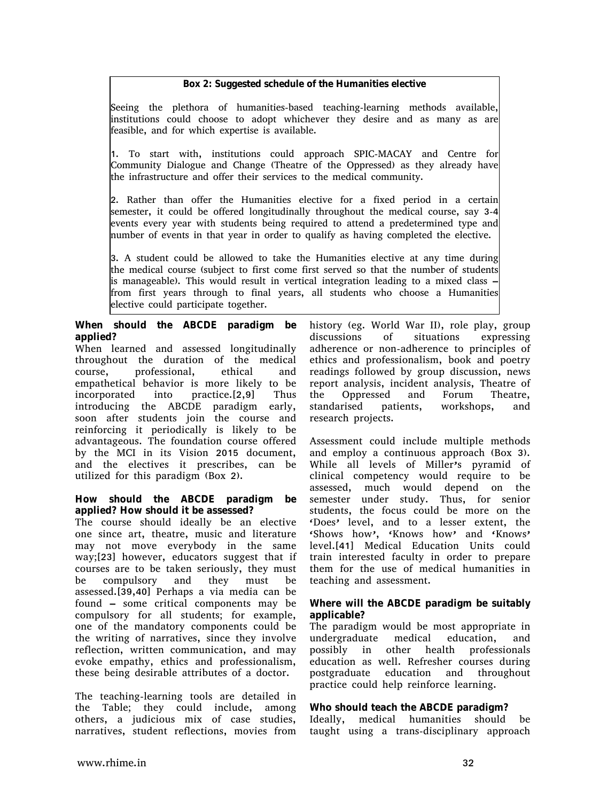**Box 2: Suggested schedule of the Humanities elective**

Seeing the plethora of humanities-based teaching-learning methods available, institutions could choose to adopt whichever they desire and as many as are feasible, and for which expertise is available.

1. To start with, institutions could approach SPIC-MACAY and Centre for Community Dialogue and Change (Theatre of the Oppressed) as they already have the infrastructure and offer their services to the medical community.

2. Rather than offer the Humanities elective for a fixed period in a certain semester, it could be offered longitudinally throughout the medical course, say 3-4 events every year with students being required to attend a predetermined type and number of events in that year in order to qualify as having completed the elective.

3. A student could be allowed to take the Humanities elective at any time during the medical course (subject to first come first served so that the number of students is manageable). This would result in vertical integration leading to a mixed class – from first years through to final years, all students who choose a Humanities elective could participate together.

**When should the ABCDE paradigm be applied?**

When learned and assessed longitudinally throughout the duration of the medical course, professional, ethical and empathetical behavior is more likely to be incorporated into practice.[2,9] Thus introducing the ABCDE paradigm early, soon after students join the course and reinforcing it periodically is likely to be advantageous. The foundation course offered by the MCI in its Vision 2015 document, and the electives it prescribes, can be utilized for this paradigm (Box 2).

**How should the ABCDE paradigm be applied? How should it be assessed?**

The course should ideally be an elective one since art, theatre, music and literature may not move everybody in the same way;[23] however, educators suggest that if courses are to be taken seriously, they must be compulsory and they must be assessed.[39,40] Perhaps a via media can be found – some critical components may be compulsory for all students; for example, one of the mandatory components could be the writing of narratives, since they involve reflection, written communication, and may evoke empathy, ethics and professionalism, these being desirable attributes of a doctor.

The teaching-learning tools are detailed in the Table; they could include, among others, a judicious mix of case studies, narratives, student reflections, movies from

history (eg. World War II), role play, group discussions of situations expressing adherence or non-adherence to principles of ethics and professionalism, book and poetry readings followed by group discussion, news report analysis, incident analysis, Theatre of the Oppressed and Forum Theatre, standarised patients, workshops, and research projects.

Assessment could include multiple methods and employ a continuous approach (Box 3). While all levels of Miller's pyramid of clinical competency would require to be assessed, much would depend on the semester under study. Thus, for senior students, the focus could be more on the 'Does' level, and to a lesser extent, the 'Shows how', 'Knows how' and 'Knows' level.[41] Medical Education Units could train interested faculty in order to prepare them for the use of medical humanities in teaching and assessment.

#### **Where will the ABCDE paradigm be suitably applicable?**

The paradigm would be most appropriate in undergraduate medical education, and possibly in other health professionals education as well. Refresher courses during postgraduate education and throughout practice could help reinforce learning.

#### **Who should teach the ABCDE paradigm?**

Ideally, medical humanities should be taught using a trans-disciplinary approach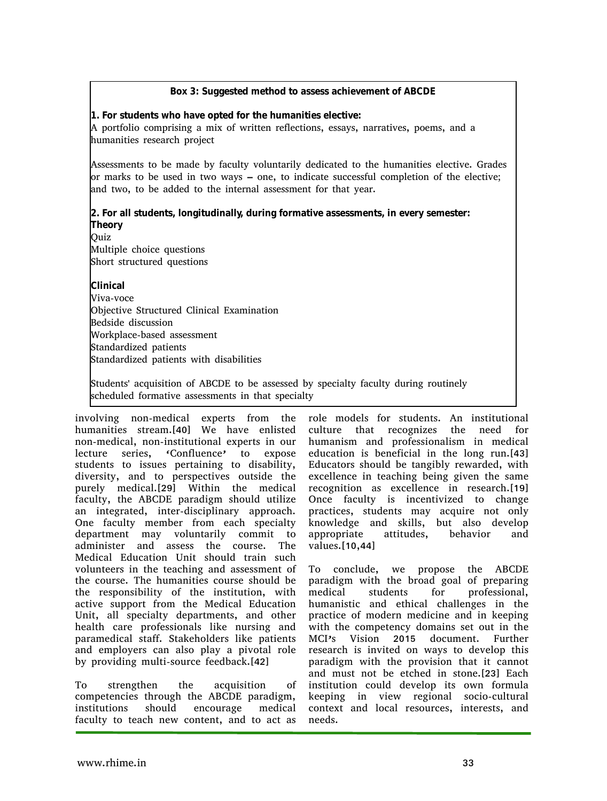**Box 3: Suggested method to assess achievement of ABCDE**

**1. For students who have opted for the humanities elective:**

A portfolio comprising a mix of written reflections, essays, narratives, poems, and a humanities research project

Assessments to be made by faculty voluntarily dedicated to the humanities elective. Grades or marks to be used in two ways – one, to indicate successful completion of the elective; and two, to be added to the internal assessment for that year.

**2. For all students, longitudinally, during formative assessments, in every semester: Theory**

Ouiz Multiple choice questions Short structured questions

**Clinical** Viva-voce

Objective Structured Clinical Examination Bedside discussion Workplace-based assessment Standardized patients Standardized patients with disabilities

Students' acquisition of ABCDE to be assessed by specialty faculty during routinely scheduled formative assessments in that specialty

involving non-medical experts from the humanities stream.[40] We have enlisted non-medical, non-institutional experts in our lecture series, 'Confluence' to expose students to issues pertaining to disability, diversity, and to perspectives outside the purely medical.[29] Within the medical faculty, the ABCDE paradigm should utilize an integrated, inter-disciplinary approach. One faculty member from each specialty department may voluntarily commit to administer and assess the course. The Medical Education Unit should train such volunteers in the teaching and assessment of the course. The humanities course should be the responsibility of the institution, with active support from the Medical Education Unit, all specialty departments, and other health care professionals like nursing and paramedical staff. Stakeholders like patients and employers can also play a pivotal role by providing multi-source feedback.[42]

To strengthen the acquisition of competencies through the ABCDE paradigm, institutions should encourage medical faculty to teach new content, and to act as

role models for students. An institutional culture that recognizes the need for humanism and professionalism in medical education is beneficial in the long run.[43] Educators should be tangibly rewarded, with excellence in teaching being given the same recognition as excellence in research.[19] Once faculty is incentivized to change practices, students may acquire not only knowledge and skills, but also develop appropriate attitudes, behavior and values.[10,44]

To conclude, we propose the ABCDE paradigm with the broad goal of preparing medical students for professional, humanistic and ethical challenges in the practice of modern medicine and in keeping with the competency domains set out in the MCI's Vision 2015 document. Further research is invited on ways to develop this paradigm with the provision that it cannot and must not be etched in stone.[23] Each institution could develop its own formula keeping in view regional socio-cultural context and local resources, interests, and needs.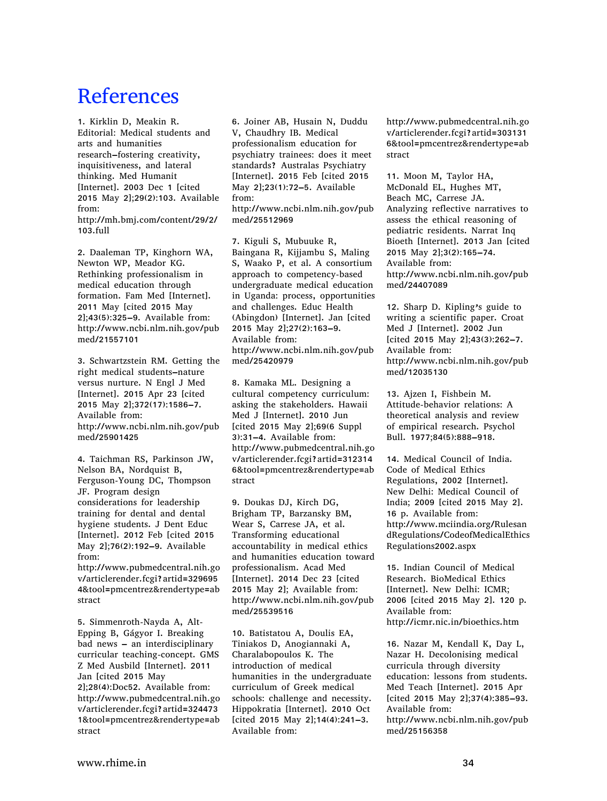## **References**

1. Kirklin D, Meakin R. Editorial: Medical students and arts and humanities research–fostering creativity, inquisitiveness, and lateral thinking. Med Humanit [Internet]. 2003 Dec 1 [cited 2015 May 2];29(2):103. Available from: http://mh.bmj.com/content/29/2/ 103.full

2. Daaleman TP, Kinghorn WA, Newton WP, Meador KG. Rethinking professionalism in medical education through formation. Fam Med [Internet]. 2011 May [cited 2015 May 2];43(5):325–9. Available from: http://www.ncbi.nlm.nih.gov/pub med/21557101

3. Schwartzstein RM. Getting the right medical students–nature versus nurture. N Engl J Med [Internet]. 2015 Apr 23 [cited 2015 May 2];372(17):1586–7. Available from: http://www.ncbi.nlm.nih.gov/pub med/25901425

4. Taichman RS, Parkinson JW, Nelson BA, Nordquist B, Ferguson-Young DC, Thompson JF. Program design considerations for leadership training for dental and dental hygiene students. J Dent Educ [Internet]. 2012 Feb [cited 2015 May 2];76(2):192–9. Available from:

http://www.pubmedcentral.nih.go v/articlerender.fcgi?artid=329695 4&tool=pmcentrez&rendertype=ab stract

5. Simmenroth-Nayda A, Alt-Epping B, Gágyor I. Breaking bad news – an interdisciplinary curricular teaching-concept. GMS Z Med Ausbild [Internet]. 2011 Jan [cited 2015 May 2];28(4):Doc52. Available from: http://www.pubmedcentral.nih.go v/articlerender.fcgi?artid=324473 1&tool=pmcentrez&rendertype=ab stract

6. Joiner AB, Husain N, Duddu V, Chaudhry IB. Medical professionalism education for psychiatry trainees: does it meet standards? Australas Psychiatry [Internet]. 2015 Feb [cited 2015 May 2];23(1):72–5. Available from: http://www.ncbi.nlm.nih.gov/pub

med/25512969

7. Kiguli S, Mubuuke R, Baingana R, Kijjambu S, Maling S, Waako P, et al. A consortium approach to competency-based undergraduate medical education in Uganda: process, opportunities and challenges. Educ Health (Abingdon) [Internet]. Jan [cited 2015 May 2];27(2):163–9. Available from: http://www.ncbi.nlm.nih.gov/pub med/25420979

8. Kamaka ML. Designing a cultural competency curriculum: asking the stakeholders. Hawaii Med J [Internet]. 2010 Jun [cited 2015 May 2];69(6 Suppl 3):31–4. Available from: http://www.pubmedcentral.nih.go v/articlerender.fcgi?artid=312314 6&tool=pmcentrez&rendertype=ab stract

9. Doukas DJ, Kirch DG, Brigham TP, Barzansky BM, Wear S, Carrese JA, et al. Transforming educational accountability in medical ethics and humanities education toward professionalism. Acad Med [Internet]. 2014 Dec 23 [cited 2015 May 2]; Available from: http://www.ncbi.nlm.nih.gov/pub med/25539516

10. Batistatou A, Doulis EA, Tiniakos D, Anogiannaki A, Charalabopoulos K. The introduction of medical humanities in the undergraduate curriculum of Greek medical schools: challenge and necessity. Hippokratia [Internet]. 2010 Oct [cited 2015 May 2];14(4):241–3. Available from:

http://www.pubmedcentral.nih.go v/articlerender.fcgi?artid=303131 6&tool=pmcentrez&rendertype=ab stract

11. Moon M, Taylor HA, McDonald EL, Hughes MT, Beach MC, Carrese JA. Analyzing reflective narratives to assess the ethical reasoning of pediatric residents. Narrat Inq Bioeth [Internet]. 2013 Jan [cited 2015 May 2];3(2):165–74. Available from: http://www.ncbi.nlm.nih.gov/pub med/24407089

12. Sharp D. Kipling's guide to writing a scientific paper. Croat Med J [Internet]. 2002 Jun [cited 2015 May 2];43(3):262–7. Available from: http://www.ncbi.nlm.nih.gov/pub med/12035130

13. Ajzen I, Fishbein M. Attitude-behavior relations: A theoretical analysis and review of empirical research. Psychol Bull. 1977;84(5):888–918.

14. Medical Council of India. Code of Medical Ethics Regulations, 2002 [Internet]. New Delhi: Medical Council of India; 2009 [cited 2015 May 2]. 16 p. Available from: http://www.mciindia.org/Rulesan dRegulations/CodeofMedicalEthics Regulations2002.aspx

15. Indian Council of Medical Research. BioMedical Ethics [Internet]. New Delhi: ICMR; 2006 [cited 2015 May 2]. 120 p. Available from: http://icmr.nic.in/bioethics.htm

16. Nazar M, Kendall K, Day L, Nazar H. Decolonising medical curricula through diversity education: lessons from students. Med Teach [Internet]. 2015 Apr [cited 2015 May 2];37(4):385–93. Available from: http://www.ncbi.nlm.nih.gov/pub med/25156358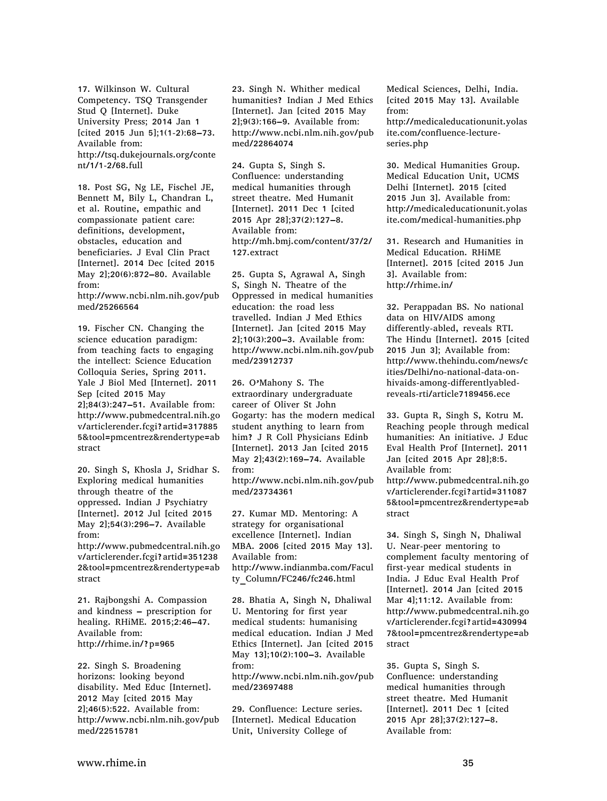17. Wilkinson W. Cultural Competency. TSQ Transgender Stud Q [Internet]. Duke University Press; 2014 Jan 1 [cited 2015 Jun 5];1(1-2):68–73. Available from: http://tsq.dukejournals.org/conte nt/1/1-2/68.full

18. Post SG, Ng LE, Fischel JE, Bennett M, Bily L, Chandran L, et al. Routine, empathic and compassionate patient care: definitions, development, obstacles, education and beneficiaries. J Eval Clin Pract [Internet]. 2014 Dec [cited 2015 May 2];20(6):872–80. Available from:

http://www.ncbi.nlm.nih.gov/pub med/25266564

19. Fischer CN. Changing the science education paradigm: from teaching facts to engaging the intellect: Science Education Colloquia Series, Spring 2011. Yale J Biol Med [Internet]. 2011 Sep [cited 2015 May 2];84(3):247–51. Available from: http://www.pubmedcentral.nih.go v/articlerender.fcgi?artid=317885 5&tool=pmcentrez&rendertype=ab stract

20. Singh S, Khosla J, Sridhar S. Exploring medical humanities through theatre of the oppressed. Indian J Psychiatry [Internet]. 2012 Jul [cited 2015 May 2];54(3):296–7. Available from:

http://www.pubmedcentral.nih.go v/articlerender.fcgi?artid=351238 2&tool=pmcentrez&rendertype=ab stract

21. Rajbongshi A. Compassion and kindness – prescription for healing. RHiME. 2015;2:46–47. Available from: http://rhime.in/?p=965

22. Singh S. Broadening horizons: looking beyond disability. Med Educ [Internet]. 2012 May [cited 2015 May 2];46(5):522. Available from: http://www.ncbi.nlm.nih.gov/pub med/22515781

23. Singh N. Whither medical humanities? Indian J Med Ethics [Internet]. Jan [cited 2015 May 2];9(3):166–9. Available from: http://www.ncbi.nlm.nih.gov/pub med/22864074

24. Gupta S, Singh S. Confluence: understanding medical humanities through street theatre. Med Humanit [Internet]. 2011 Dec 1 [cited 2015 Apr 28];37(2):127–8. Available from: http://mh.bmj.com/content/37/2/ 127.extract

25. Gupta S, Agrawal A, Singh S, Singh N. Theatre of the Oppressed in medical humanities education: the road less travelled. Indian J Med Ethics [Internet]. Jan [cited 2015 May 2];10(3):200–3. Available from: http://www.ncbi.nlm.nih.gov/pub med/23912737

26. O'Mahony S. The extraordinary undergraduate career of Oliver St John Gogarty: has the modern medical student anything to learn from him? J R Coll Physicians Edinb [Internet]. 2013 Jan [cited 2015 May 2];43(2):169–74. Available from:

http://www.ncbi.nlm.nih.gov/pub med/23734361

27. Kumar MD. Mentoring: A strategy for organisational excellence [Internet]. Indian MBA. 2006 [cited 2015 May 13]. Available from: http://www.indianmba.com/Facul ty\_Column/FC246/fc246.html

28. Bhatia A, Singh N, Dhaliwal U. Mentoring for first year medical students: humanising medical education. Indian J Med Ethics [Internet]. Jan [cited 2015 May 13];10(2):100–3. Available from:

http://www.ncbi.nlm.nih.gov/pub med/23697488

29. Confluence: Lecture series. [Internet]. Medical Education Unit, University College of

Medical Sciences, Delhi, India. [cited 2015 May 13]. Available from: http://medicaleducationunit.yolas ite.com/confluence-lectureseries.php

30. Medical Humanities Group. Medical Education Unit, UCMS Delhi [Internet]. 2015 [cited 2015 Jun 3]. Available from: http://medicaleducationunit.yolas ite.com/medical-humanities.php

31. Research and Humanities in Medical Education. RHiME [Internet]. 2015 [cited 2015 Jun 3]. Available from: http://rhime.in/

32. Perappadan BS. No national data on HIV/AIDS among differently-abled, reveals RTI. The Hindu [Internet]. 2015 [cited 2015 Jun 3]; Available from: http://www.thehindu.com/news/c ities/Delhi/no-national-data-onhivaids-among-differentlyabledreveals-rti/article7189456.ece

33. Gupta R, Singh S, Kotru M. Reaching people through medical humanities: An initiative. J Educ Eval Health Prof [Internet]. 2011 Jan [cited 2015 Apr 28];8:5. Available from: http://www.pubmedcentral.nih.go v/articlerender.fcgi?artid=311087 5&tool=pmcentrez&rendertype=ab stract

34. Singh S, Singh N, Dhaliwal U. Near-peer mentoring to complement faculty mentoring of first-year medical students in India. J Educ Eval Health Prof [Internet]. 2014 Jan [cited 2015 Mar 4];11:12. Available from: http://www.pubmedcentral.nih.go v/articlerender.fcgi?artid=430994 7&tool=pmcentrez&rendertype=ab stract

35. Gupta S, Singh S. Confluence: understanding medical humanities through street theatre. Med Humanit [Internet]. 2011 Dec 1 [cited 2015 Apr 28];37(2):127–8. Available from: